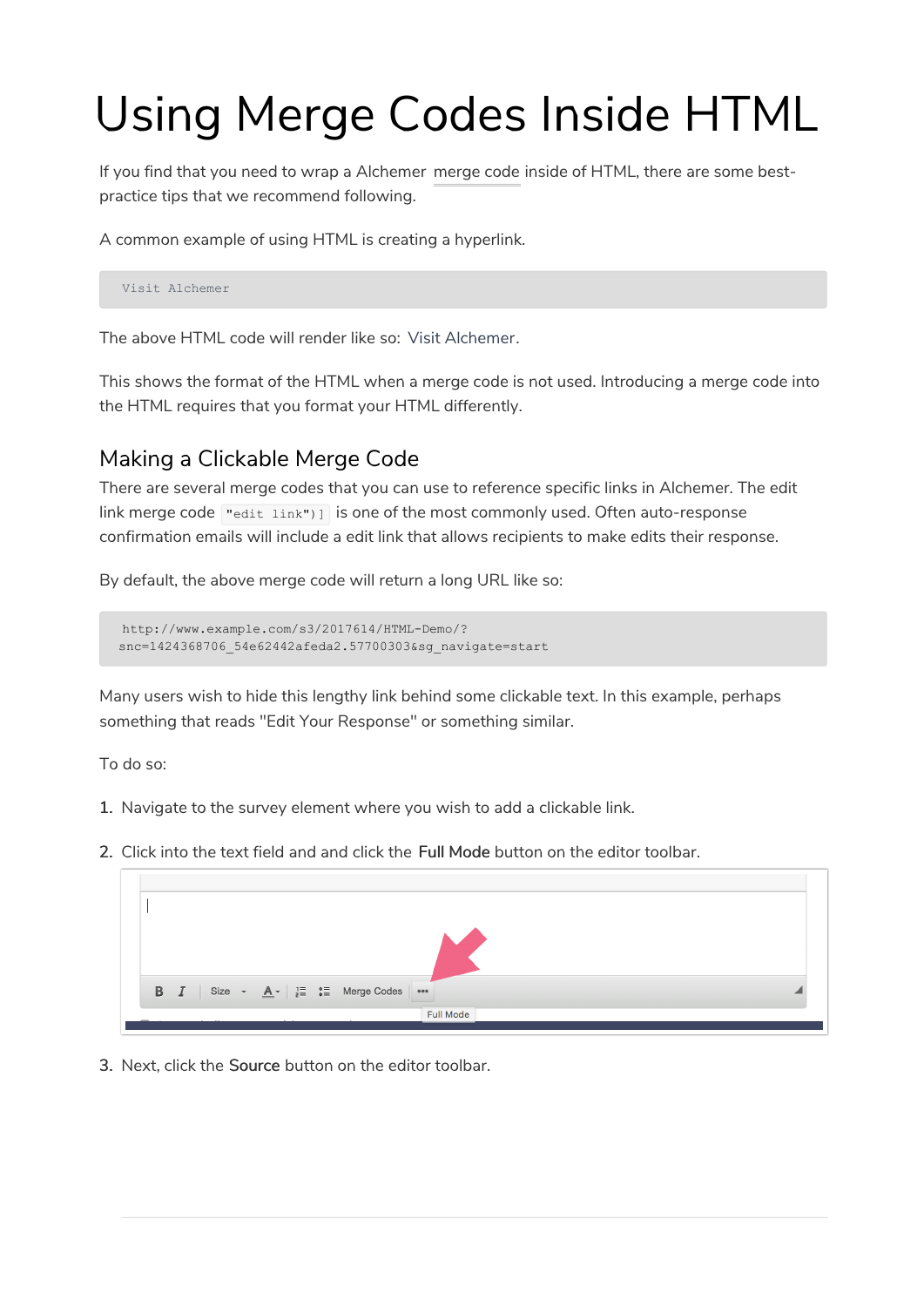## Using Merge Codes Inside HTML

If you find that you need to wrap a Alchemer merge code inside of HTML, there are some bestpractice tips that we recommend following.

A common example of using HTML is creating a hyperlink.

Visit Alchemer

The above HTML code will render like so: Visit Alchemer.

This shows the format of the HTML when a merge code is not used. Introducing a merge code into the HTML requires that you format your HTML differently.

## Making a Clickable Merge Code

There are several merge codes that you can use to reference specific links in Alchemer. The edit link merge code  $\left[\text{right}\right]$  is one of the most commonly used. Often auto-response confirmation emails will include a edit link that allows recipients to make edits their response.

By default, the above merge code will return a long URL like so:

```
http://www.example.com/s3/2017614/HTML-Demo/?
snc=1424368706_54e62442afeda2.57700303&sg_navigate=start
```
Many users wish to hide this lengthy link behind some clickable text. In this example, perhaps something that reads "Edit Your Response" or something similar.

To do so:

- 1. Navigate to the survey element where you wish to add a clickable link.
- 2. Click into the text field and and click the Full Mode button on the editor toolbar.



3. Next, click the Source button on the editor toolbar.